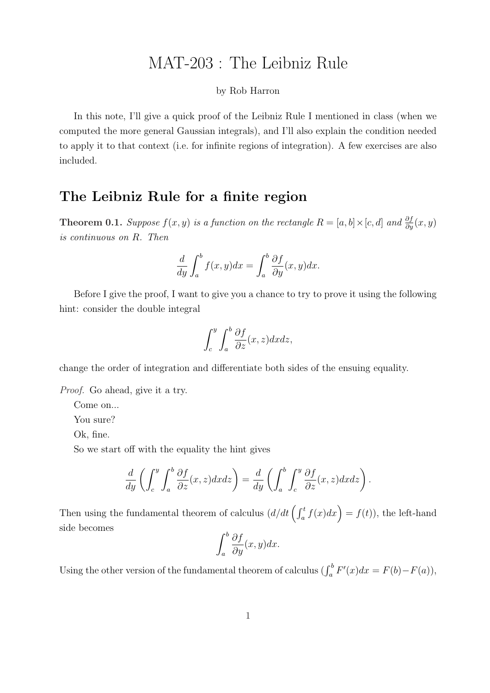## MAT-203 : The Leibniz Rule

## by Rob Harron

In this note, I'll give a quick proof of the Leibniz Rule I mentioned in class (when we computed the more general Gaussian integrals), and I'll also explain the condition needed to apply it to that context (i.e. for infinite regions of integration). A few exercises are also included.

## The Leibniz Rule for a finite region

**Theorem 0.1.** Suppose  $f(x, y)$  is a function on the rectangle  $R = [a, b] \times [c, d]$  and  $\frac{\partial f}{\partial y}(x, y)$ is continuous on R. Then

$$
\frac{d}{dy} \int_{a}^{b} f(x, y) dx = \int_{a}^{b} \frac{\partial f}{\partial y}(x, y) dx.
$$

Before I give the proof, I want to give you a chance to try to prove it using the following hint: consider the double integral

$$
\int_{c}^{y} \int_{a}^{b} \frac{\partial f}{\partial z}(x, z) dx dz,
$$

change the order of integration and differentiate both sides of the ensuing equality.

Proof. Go ahead, give it a try.

Come on...

You sure?

Ok, fine.

So we start off with the equality the hint gives

$$
\frac{d}{dy}\left(\int_c^y \int_a^b \frac{\partial f}{\partial z}(x, z) dxdz\right) = \frac{d}{dy}\left(\int_a^b \int_c^y \frac{\partial f}{\partial z}(x, z) dxdz\right).
$$

Then using the fundamental theorem of calculus  $\left(d/dt\left(\int_a^t f(x)dx\right) = f(t)\right)$ , the left-hand side becomes  $\overline{c}$ 

$$
\int_{a}^{b} \frac{\partial f}{\partial y}(x, y) dx.
$$

Using the other version of the fundamental theorem of calculus  $(\int_a^b F'(x)dx = F(b) - F(a)),$